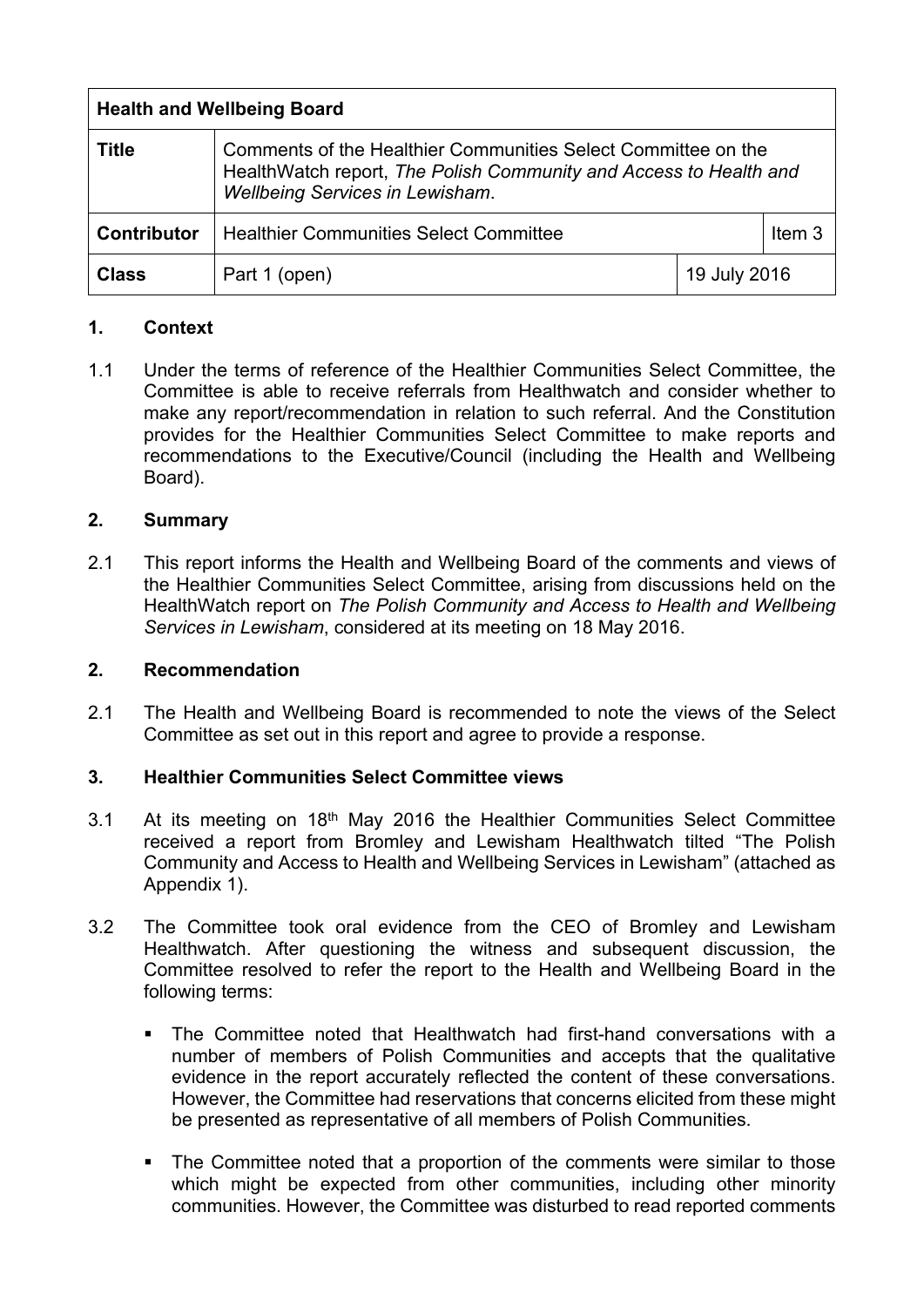| <b>Health and Wellbeing Board</b> |                                                                                                                                                                              |              |                   |
|-----------------------------------|------------------------------------------------------------------------------------------------------------------------------------------------------------------------------|--------------|-------------------|
| <b>Title</b>                      | Comments of the Healthier Communities Select Committee on the<br>HealthWatch report, The Polish Community and Access to Health and<br><b>Wellbeing Services in Lewisham.</b> |              |                   |
| Contributor                       | <b>Healthier Communities Select Committee</b>                                                                                                                                |              | Item <sub>3</sub> |
| <b>Class</b>                      | Part 1 (open)                                                                                                                                                                | 19 July 2016 |                   |

### **1. Context**

1.1 Under the terms of reference of the Healthier Communities Select Committee, the Committee is able to receive referrals from Healthwatch and consider whether to make any report/recommendation in relation to such referral. And the Constitution provides for the Healthier Communities Select Committee to make reports and recommendations to the Executive/Council (including the Health and Wellbeing Board).

# **2. Summary**

2.1 This report informs the Health and Wellbeing Board of the comments and views of the Healthier Communities Select Committee, arising from discussions held on the HealthWatch report on *The Polish Community and Access to Health and Wellbeing Services in Lewisham*, considered at its meeting on 18 May 2016.

### **2. Recommendation**

2.1 The Health and Wellbeing Board is recommended to note the views of the Select Committee as set out in this report and agree to provide a response.

### **3. Healthier Communities Select Committee views**

- 3.1 At its meeting on 18th May 2016 the Healthier Communities Select Committee received a report from Bromley and Lewisham Healthwatch tilted "The Polish Community and Access to Health and Wellbeing Services in Lewisham" (attached as Appendix 1).
- 3.2 The Committee took oral evidence from the CEO of Bromley and Lewisham Healthwatch. After questioning the witness and subsequent discussion, the Committee resolved to refer the report to the Health and Wellbeing Board in the following terms:
	- The Committee noted that Healthwatch had first-hand conversations with a number of members of Polish Communities and accepts that the qualitative evidence in the report accurately reflected the content of these conversations. However, the Committee had reservations that concerns elicited from these might be presented as representative of all members of Polish Communities.
	- The Committee noted that a proportion of the comments were similar to those which might be expected from other communities, including other minority communities. However, the Committee was disturbed to read reported comments